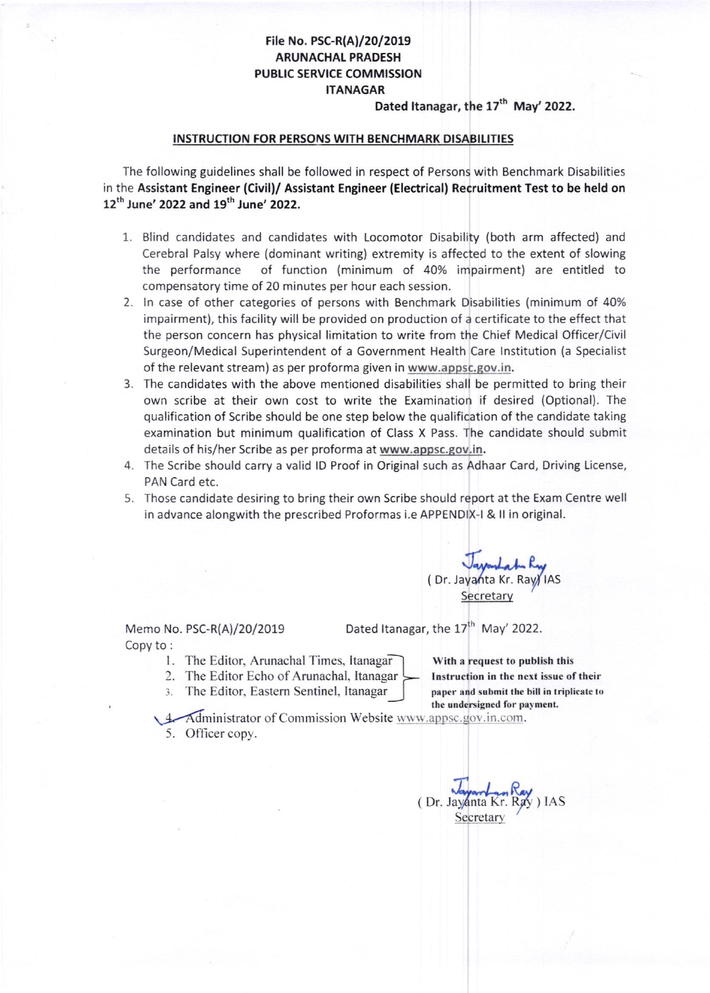#### File No. PSC-R(A)/20/2019 ARUNACHAL PRADESH PUBLIC SERVICE COMMISSION ITANAGAR

Dated Itanagar, the 17<sup>th</sup> May' 2022.

#### INSTRUCTION FOR PERSONS WITH BENCHMARK DISABILITIES

The following guidelines shall be followed in respect of Persons with Benchmark Disabilities in the Assistant Engineer (Civil)/ Assistant Engineer (Electrical) Recruitment Test to be held on 12<sup>th</sup> June' 2022 and 19<sup>th</sup> June' 2022.

- 1. Blind candidates and candidates with Locomotor Disability (both arm affected) and Cerebral Palsy where (dominant writing) extremity is affected to the extent of slowing the performance of function (minimum of 40% impairment) are entitled to compensatory time of 20 minutes per hour each session.
- 2. ln case of other categories of persons with Benchmark Disabilities (minimum of 40% impairment), this facility will be provided on production of a certificate to the effect that the person concern has physical limitation to write from the Chief Medical Officer/Civil Surgeon/Medical Superintendent of a Government Health Care lnstitution (a Specialist of the relevant stream) as per proforma given in www.aposc.gov. in.
- 3. The candidates with the above mentioned disabilities shall be permitted to bring their own scribe at their own cost to write the Examination if desired (Optional). The qualification of Scribe should be one step below the qualification of the candidate taking examination but minimum qualification of Class X Pass. The candidate should submit details of his/her Scribe as per proforma at www.appsc.gov.in.
- 4. The Scribe should carry a valid lD Proof in Original such as Adhaar Card, Driving License, PAN Card etc.
- 5. Those candidate desiring to bring their own Scribe should report at the Exam Centre well in advance alongwith the prescribed Proformas i.e APPENDIX-I & ll in original.

Vayantat Ry

**Secretary** 

Memo No. PSC-R(A)/20/2019 Copy to :

Dated Itanagar, the 17<sup>th</sup> May' 2022.

- <sup>I</sup>. The Editor. Arunachal Times. Itanagar
- 2. The Editor Echo of Arunachal, Itanagar
- 3. The Editor, Eastern Sentinel, Itanagar

With a request to publish this Instruction in the next issue of their paper and submit the bill in triplicate to the undersigned for payment.

1. Administrator of Commission Website www.appsc.gov.in.com. 5. Officer copy.

Tayanta Kr. Secretary R" Ray ) IAS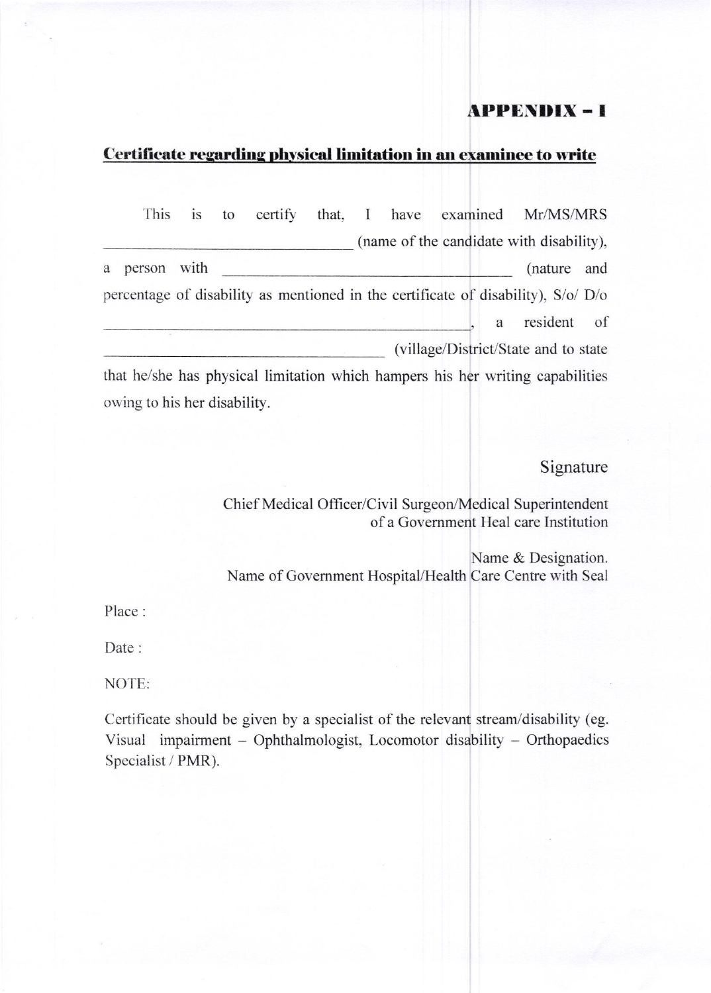## **APPENDIX-I**

#### Certificate regarding physical limitation in an examinee to write

|   | This                         | 1S | to | certify |                                      |  |   | that, I have examined Mr/MS/MRS                                                   |     |
|---|------------------------------|----|----|---------|--------------------------------------|--|---|-----------------------------------------------------------------------------------|-----|
|   |                              |    |    |         |                                      |  |   | (name of the candidate with disability),                                          |     |
| a | person with                  |    |    |         |                                      |  |   | (nature)                                                                          | and |
|   |                              |    |    |         |                                      |  |   | percentage of disability as mentioned in the certificate of disability), S/o/ D/o |     |
|   |                              |    |    |         |                                      |  | a | resident                                                                          | of  |
|   |                              |    |    |         | (village/District/State and to state |  |   |                                                                                   |     |
|   |                              |    |    |         |                                      |  |   | that he/she has physical limitation which hampers his her writing capabilities    |     |
|   | owing to his her disability. |    |    |         |                                      |  |   |                                                                                   |     |

## Signature

Chief Medical Officer/Civil Surgeon/Medical Superintendent of a Government Heal care Institution

Name & Designation. Name of Government Hospital/Health Care Centre with Seal

Place:

Date:

NOTE:

Certificate should be given by a specialist of the relevant stream/disability (eg. Visual impairment - Ophthalmologist, Locomotor disability - Orthopaedics Specialist / PMR).